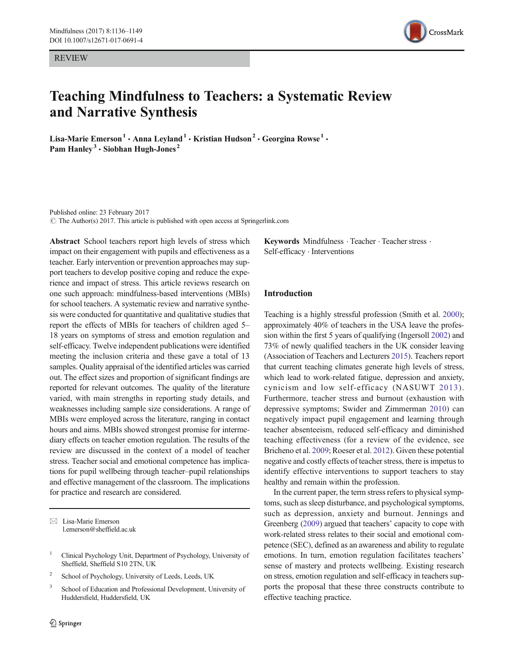REVIEW



# Teaching Mindfulness to Teachers: a Systematic Review and Narrative Synthesis

Lisa-Marie Emerson<sup>1</sup> • Anna Leyland<sup>1</sup> • Kristian Hudson<sup>2</sup> • Georgina Rowse<sup>1</sup> • Pam Hanley<sup>3</sup>  $\cdot$  Siobhan Hugh-Jones<sup>2</sup>

Published online: 23 February 2017  $\circ$  The Author(s) 2017. This article is published with open access at Springerlink.com

Abstract School teachers report high levels of stress which impact on their engagement with pupils and effectiveness as a teacher. Early intervention or prevention approaches may support teachers to develop positive coping and reduce the experience and impact of stress. This article reviews research on one such approach: mindfulness-based interventions (MBIs) for school teachers. A systematic review and narrative synthesis were conducted for quantitative and qualitative studies that report the effects of MBIs for teachers of children aged 5– 18 years on symptoms of stress and emotion regulation and self-efficacy. Twelve independent publications were identified meeting the inclusion criteria and these gave a total of 13 samples. Quality appraisal of the identified articles was carried out. The effect sizes and proportion of significant findings are reported for relevant outcomes. The quality of the literature varied, with main strengths in reporting study details, and weaknesses including sample size considerations. A range of MBIs were employed across the literature, ranging in contact hours and aims. MBIs showed strongest promise for intermediary effects on teacher emotion regulation. The results of the review are discussed in the context of a model of teacher stress. Teacher social and emotional competence has implications for pupil wellbeing through teacher–pupil relationships and effective management of the classroom. The implications for practice and research are considered.

 $\boxtimes$  Lisa-Marie Emerson l.emerson@sheffield.ac.uk

- <sup>1</sup> Clinical Psychology Unit, Department of Psychology, University of Sheffield, Sheffield S10 2TN, UK
- <sup>2</sup> School of Psychology, University of Leeds, Leeds, UK
- <sup>3</sup> School of Education and Professional Development, University of Huddersfield, Huddersfield, UK

Keywords Mindfulness · Teacher · Teacher stress · Self-efficacy . Interventions

## Introduction

Teaching is a highly stressful profession (Smith et al. 2000); approximately 40% of teachers in the USA leave the profession within the first 5 years of qualifying (Ingersoll 2002) and 73% of newly qualified teachers in the UK consider leaving (Association of Teachers and Lecturers 2015). Teachers report that current teaching climates generate high levels of stress, which lead to work-related fatigue, depression and anxiety, cynicism and low self-efficacy (NASUWT 2013). Furthermore, teacher stress and burnout (exhaustion with depressive symptoms; Swider and Zimmerman 2010) can negatively impact pupil engagement and learning through teacher absenteeism, reduced self-efficacy and diminished teaching effectiveness (for a review of the evidence, see Bricheno et al. 2009; Roeser et al. 2012). Given these potential negative and costly effects of teacher stress, there is impetus to identify effective interventions to support teachers to stay healthy and remain within the profession.

In the current paper, the term stress refers to physical symptoms, such as sleep disturbance, and psychological symptoms, such as depression, anxiety and burnout. Jennings and Greenberg (2009) argued that teachers' capacity to cope with work-related stress relates to their social and emotional competence (SEC), defined as an awareness and ability to regulate emotions. In turn, emotion regulation facilitates teachers' sense of mastery and protects wellbeing. Existing research on stress, emotion regulation and self-efficacy in teachers supports the proposal that these three constructs contribute to effective teaching practice.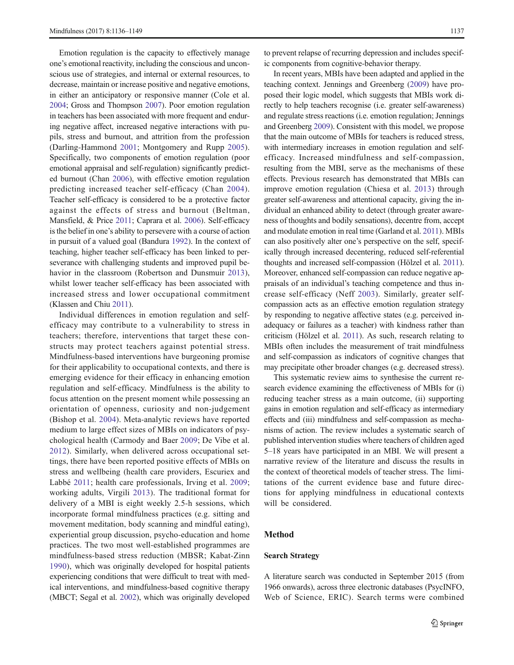Emotion regulation is the capacity to effectively manage one's emotional reactivity, including the conscious and unconscious use of strategies, and internal or external resources, to decrease, maintain or increase positive and negative emotions, in either an anticipatory or responsive manner (Cole et al. 2004; Gross and Thompson 2007). Poor emotion regulation in teachers has been associated with more frequent and enduring negative affect, increased negative interactions with pupils, stress and burnout, and attrition from the profession (Darling-Hammond 2001; Montgomery and Rupp 2005). Specifically, two components of emotion regulation (poor emotional appraisal and self-regulation) significantly predicted burnout (Chan 2006), with effective emotion regulation predicting increased teacher self-efficacy (Chan 2004). Teacher self-efficacy is considered to be a protective factor against the effects of stress and burnout (Beltman, Mansfield, & Price 2011; Caprara et al. 2006). Self-efficacy is the belief in one's ability to persevere with a course of action in pursuit of a valued goal (Bandura 1992). In the context of teaching, higher teacher self-efficacy has been linked to perseverance with challenging students and improved pupil behavior in the classroom (Robertson and Dunsmuir 2013), whilst lower teacher self-efficacy has been associated with increased stress and lower occupational commitment (Klassen and Chiu 2011).

Individual differences in emotion regulation and selfefficacy may contribute to a vulnerability to stress in teachers; therefore, interventions that target these constructs may protect teachers against potential stress. Mindfulness-based interventions have burgeoning promise for their applicability to occupational contexts, and there is emerging evidence for their efficacy in enhancing emotion regulation and self-efficacy. Mindfulness is the ability to focus attention on the present moment while possessing an orientation of openness, curiosity and non-judgement (Bishop et al. 2004). Meta-analytic reviews have reported medium to large effect sizes of MBIs on indicators of psychological health (Carmody and Baer 2009; De Vibe et al. 2012). Similarly, when delivered across occupational settings, there have been reported positive effects of MBIs on stress and wellbeing (health care providers, Escuriex and Labbé 2011; health care professionals, Irving et al. 2009; working adults, Virgili 2013). The traditional format for delivery of a MBI is eight weekly 2.5-h sessions, which incorporate formal mindfulness practices (e.g. sitting and movement meditation, body scanning and mindful eating), experiential group discussion, psycho-education and home practices. The two most well-established programmes are mindfulness-based stress reduction (MBSR; Kabat-Zinn 1990), which was originally developed for hospital patients experiencing conditions that were difficult to treat with medical interventions, and mindfulness-based cognitive therapy (MBCT; Segal et al. 2002), which was originally developed

to prevent relapse of recurring depression and includes specific components from cognitive-behavior therapy.

In recent years, MBIs have been adapted and applied in the teaching context. Jennings and Greenberg (2009) have proposed their logic model, which suggests that MBIs work directly to help teachers recognise (i.e. greater self-awareness) and regulate stress reactions (i.e. emotion regulation; Jennings and Greenberg 2009). Consistent with this model, we propose that the main outcome of MBIs for teachers is reduced stress, with intermediary increases in emotion regulation and selfefficacy. Increased mindfulness and self-compassion, resulting from the MBI, serve as the mechanisms of these effects. Previous research has demonstrated that MBIs can improve emotion regulation (Chiesa et al. 2013) through greater self-awareness and attentional capacity, giving the individual an enhanced ability to detect (through greater awareness of thoughts and bodily sensations), decentre from, accept and modulate emotion in real time (Garland et al. 2011). MBIs can also positively alter one's perspective on the self, specifically through increased decentering, reduced self-referential thoughts and increased self-compassion (Hölzel et al. 2011). Moreover, enhanced self-compassion can reduce negative appraisals of an individual's teaching competence and thus increase self-efficacy (Neff 2003). Similarly, greater selfcompassion acts as an effective emotion regulation strategy by responding to negative affective states (e.g. perceived inadequacy or failures as a teacher) with kindness rather than criticism (Hölzel et al. 2011). As such, research relating to MBIs often includes the measurement of trait mindfulness and self-compassion as indicators of cognitive changes that may precipitate other broader changes (e.g. decreased stress).

This systematic review aims to synthesise the current research evidence examining the effectiveness of MBIs for (i) reducing teacher stress as a main outcome, (ii) supporting gains in emotion regulation and self-efficacy as intermediary effects and (iii) mindfulness and self-compassion as mechanisms of action. The review includes a systematic search of published intervention studies where teachers of children aged 5–18 years have participated in an MBI. We will present a narrative review of the literature and discuss the results in the context of theoretical models of teacher stress. The limitations of the current evidence base and future directions for applying mindfulness in educational contexts will be considered.

# Method

#### Search Strategy

A literature search was conducted in September 2015 (from 1966 onwards), across three electronic databases (PsycINFO, Web of Science, ERIC). Search terms were combined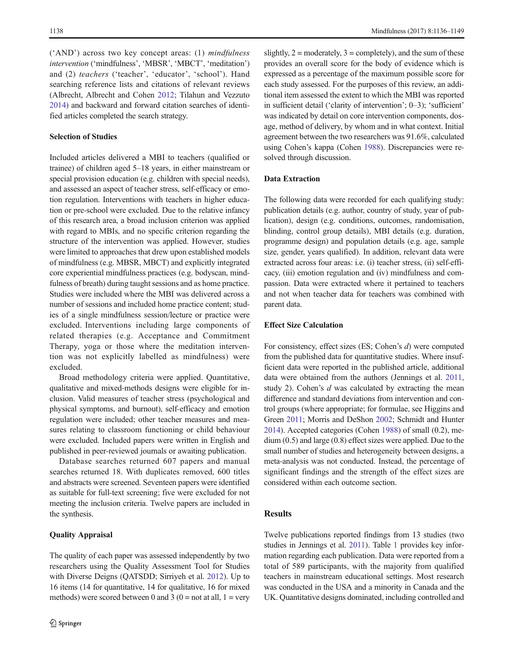$('AND')$  across two key concept areas: (1) mindfulness intervention ('mindfulness', 'MBSR', 'MBCT', 'meditation') and (2) teachers ('teacher', 'educator', 'school'). Hand searching reference lists and citations of relevant reviews (Albrecht, Albrecht and Cohen 2012; Tilahun and Vezzuto 2014) and backward and forward citation searches of identified articles completed the search strategy.

## Selection of Studies

Included articles delivered a MBI to teachers (qualified or trainee) of children aged 5–18 years, in either mainstream or special provision education (e.g. children with special needs), and assessed an aspect of teacher stress, self-efficacy or emotion regulation. Interventions with teachers in higher education or pre-school were excluded. Due to the relative infancy of this research area, a broad inclusion criterion was applied with regard to MBIs, and no specific criterion regarding the structure of the intervention was applied. However, studies were limited to approaches that drew upon established models of mindfulness (e.g. MBSR, MBCT) and explicitly integrated core experiential mindfulness practices (e.g. bodyscan, mindfulness of breath) during taught sessions and as home practice. Studies were included where the MBI was delivered across a number of sessions and included home practice content; studies of a single mindfulness session/lecture or practice were excluded. Interventions including large components of related therapies (e.g. Acceptance and Commitment Therapy, yoga or those where the meditation intervention was not explicitly labelled as mindfulness) were excluded.

Broad methodology criteria were applied. Quantitative, qualitative and mixed-methods designs were eligible for inclusion. Valid measures of teacher stress (psychological and physical symptoms, and burnout), self-efficacy and emotion regulation were included; other teacher measures and measures relating to classroom functioning or child behaviour were excluded. Included papers were written in English and published in peer-reviewed journals or awaiting publication.

Database searches returned 607 papers and manual searches returned 18. With duplicates removed, 600 titles and abstracts were screened. Seventeen papers were identified as suitable for full-text screening; five were excluded for not meeting the inclusion criteria. Twelve papers are included in the synthesis.

# Quality Appraisal

slightly,  $2 =$  moderately,  $3 =$  completely), and the sum of these provides an overall score for the body of evidence which is expressed as a percentage of the maximum possible score for each study assessed. For the purposes of this review, an additional item assessed the extent to which the MBI was reported in sufficient detail ('clarity of intervention'; 0–3); 'sufficient' was indicated by detail on core intervention components, dosage, method of delivery, by whom and in what context. Initial agreement between the two researchers was 91.6%, calculated using Cohen's kappa (Cohen 1988). Discrepancies were resolved through discussion.

## Data Extraction

The following data were recorded for each qualifying study: publication details (e.g. author, country of study, year of publication), design (e.g. conditions, outcomes, randomisation, blinding, control group details), MBI details (e.g. duration, programme design) and population details (e.g. age, sample size, gender, years qualified). In addition, relevant data were extracted across four areas: i.e. (i) teacher stress, (ii) self-efficacy, (iii) emotion regulation and (iv) mindfulness and compassion. Data were extracted where it pertained to teachers and not when teacher data for teachers was combined with parent data.

#### Effect Size Calculation

For consistency, effect sizes (ES; Cohen's d) were computed from the published data for quantitative studies. Where insufficient data were reported in the published article, additional data were obtained from the authors (Jennings et al. 2011, study 2). Cohen's  $d$  was calculated by extracting the mean difference and standard deviations from intervention and control groups (where appropriate; for formulae, see Higgins and Green 2011; Morris and DeShon 2002; Schmidt and Hunter 2014). Accepted categories (Cohen 1988) of small (0.2), medium (0.5) and large (0.8) effect sizes were applied. Due to the small number of studies and heterogeneity between designs, a meta-analysis was not conducted. Instead, the percentage of significant findings and the strength of the effect sizes are considered within each outcome section.

# **Results**

Twelve publications reported findings from 13 studies (two studies in Jennings et al. 2011). Table 1 provides key information regarding each publication. Data were reported from a total of 589 participants, with the majority from qualified teachers in mainstream educational settings. Most research was conducted in the USA and a minority in Canada and the UK. Quantitative designs dominated, including controlled and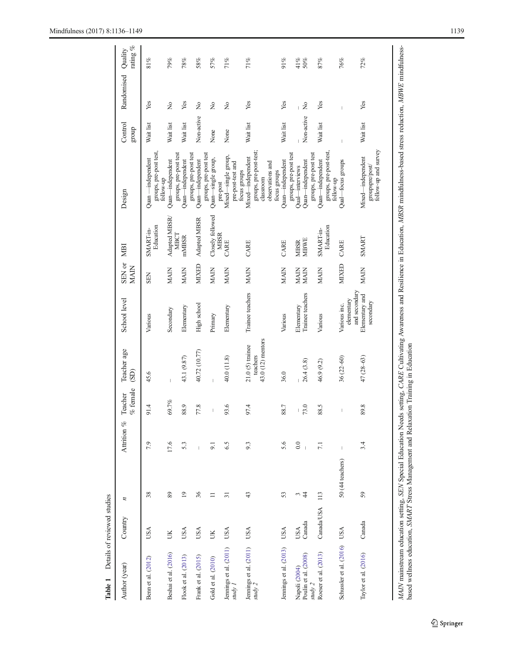| Table 1                               | Details of reviewed studies |                             |                                       |                                                                                                                                                                                                                                                                                                                                                                                  |                               |                                              |                       |                        |                                                                    |                  |             |                        |
|---------------------------------------|-----------------------------|-----------------------------|---------------------------------------|----------------------------------------------------------------------------------------------------------------------------------------------------------------------------------------------------------------------------------------------------------------------------------------------------------------------------------------------------------------------------------|-------------------------------|----------------------------------------------|-----------------------|------------------------|--------------------------------------------------------------------|------------------|-------------|------------------------|
| Author (year)                         | Country                     | $\overline{\boldsymbol{z}}$ | Attrition %                           | $%$ female<br>Teacher                                                                                                                                                                                                                                                                                                                                                            | Teacher age<br>(SD)           | School level                                 | SEN or<br><b>MAIN</b> | MBI                    | Design                                                             | Control<br>group | Randomised  | rating $\%$<br>Quality |
| Benn et al. (2012)                    | USA                         | 38                          | 7.9                                   | 91.4                                                                                                                                                                                                                                                                                                                                                                             | 45.6                          | Various                                      | <b>SEN</b>            | Education<br>SMART-in- | groups, pre-post test,<br>follow-up<br>Quan -independent           | Wait list        | Yes         | 81%                    |
| Beshai et al. (2016)                  | ŠК                          | 89                          | 17.6                                  | 69.7%                                                                                                                                                                                                                                                                                                                                                                            | $\overline{1}$                | Secondary                                    | <b>MAIN</b>           | Adapted MBSR/<br>MBCT  | Quan-independent                                                   | Wait list        | $\tilde{z}$ | 79%                    |
| Flook et al. (2013)                   | USA                         | $^{19}$                     | 5.3                                   | 88.9                                                                                                                                                                                                                                                                                                                                                                             | 43.1 (9.87)                   | Elementary                                   | <b>MAIN</b>           | mMBSR                  | groups, pre-post test<br>Quan-independent                          | Wait list        | Yes         | 78%                    |
| Frank et al. (2015)                   | USA                         | 36                          | $\overline{1}$                        | 77.8                                                                                                                                                                                                                                                                                                                                                                             | 40.72 (10.77)                 | High school                                  | MIXED                 | Adapted MBSR           | groups, pre-post test<br>Quan-independent                          | Non-active       | $\tilde{z}$ | 58%                    |
| Gold et al. (2010)                    | ŬК                          | $\equiv$                    | 9.1                                   | $\begin{array}{c} \rule{0pt}{2.5ex} \rule{0pt}{2.5ex} \rule{0pt}{2.5ex} \rule{0pt}{2.5ex} \rule{0pt}{2.5ex} \rule{0pt}{2.5ex} \rule{0pt}{2.5ex} \rule{0pt}{2.5ex} \rule{0pt}{2.5ex} \rule{0pt}{2.5ex} \rule{0pt}{2.5ex} \rule{0pt}{2.5ex} \rule{0pt}{2.5ex} \rule{0pt}{2.5ex} \rule{0pt}{2.5ex} \rule{0pt}{2.5ex} \rule{0pt}{2.5ex} \rule{0pt}{2.5ex} \rule{0pt}{2.5ex} \rule{0$ | $\overline{1}$                | Primary                                      | <b>MAIN</b>           | Closely followed       | groups, pre-post test<br>Quan-single group,                        | None             | Ş           | 57%                    |
| Jemings et al. (2011)<br>study 1      | USA                         | 51                          | 6.5                                   | 93.6                                                                                                                                                                                                                                                                                                                                                                             | 40.0 (11.8)                   | Elementary                                   | <b>MAIN</b>           | <b>MBSR</b><br>CARE    | Mixed-single group,<br>pre-post-test and<br>pre-post               | None             | $\tilde{z}$ | 71%                    |
| Jennings et al. (2011)                | USA                         | 43                          | 9.3                                   | 97.4                                                                                                                                                                                                                                                                                                                                                                             | $21.0$ (5) trainee            | Trainee teachers                             | <b>MAIN</b>           | CARE                   | Mixed-independent<br>focus groups                                  | Wait list        | Yes         | 71%                    |
| study 2                               |                             |                             |                                       |                                                                                                                                                                                                                                                                                                                                                                                  | 43.0 (12) mentors<br>teachers |                                              |                       |                        | groups, pre-post-test;<br>classroom<br>observations and            |                  |             |                        |
| Jennings et al. (2013)                | <b>USA</b>                  | 53                          | 5.6                                   | 88.7                                                                                                                                                                                                                                                                                                                                                                             | 36.0                          | Various                                      | <b>MAIN</b>           | CARE                   | Quan-independent<br>focus groups                                   | Wait list        | Yes         | $91\%$                 |
| Poulin et al. (2008)<br>Napoli (2004) | Canada<br>USA               | $\frac{4}{3}$               | 0.0<br>$\overline{1}$                 | 73.0<br>$\vert$                                                                                                                                                                                                                                                                                                                                                                  | 26.4(3.8)                     | Trainee teachers<br>Elementary               | <b>MAIN</b><br>MAIN   | MBSR<br>MBWE           | groups, pre-post test<br>Quan-independent<br>Qual-interviews       | Non-active       | $\tilde{z}$ | 41%<br>50%             |
| Roeser et al. (2013)<br>study 2       | Canada/USA                  | 113                         | 7.1                                   | 88.5                                                                                                                                                                                                                                                                                                                                                                             | 46.9 (9.2)                    | Various                                      | <b>MAIN</b>           | Education<br>SMART-in- | groups, pre-post-test<br>groups, pre-post test<br>Quan-independent | Wait list        | Yes         | 87%                    |
| Schussler et al. (2016)               | <b>USA</b>                  | 50 (44 teachers)            | $\begin{array}{c} \hline \end{array}$ | I                                                                                                                                                                                                                                                                                                                                                                                | $36(22 - 60)$                 | elementary<br>Various inc.                   | <b>MIXED</b>          | CARE                   | Qual-focus groups<br>follow-up                                     |                  |             | 76%                    |
| Taylor et al. (2016)                  | Canada                      | 59                          | 3.4                                   | 89.8                                                                                                                                                                                                                                                                                                                                                                             | $47(28-63)$                   | and secondary<br>Elementary and<br>secondary | <b>MAIN</b>           | SMART                  | follow-up and survey<br>Mixed-independent<br>groupspre/post/       | Wait list        | Yes         | 72%                    |
|                                       |                             |                             |                                       |                                                                                                                                                                                                                                                                                                                                                                                  |                               |                                              |                       |                        |                                                                    |                  |             |                        |

 $\underline{\textcircled{\tiny 2}}$  Springer

MAIN mainstream education setting, SEN Special Education Needs setting, CARE Cultivating Awareness and Resilience in Education, MBSR mindfulness-based stress reduction, MBWE mindfulness-

MAIN mainstream education setting, SEN Special Education Needs setting, CARE Cultivating Awareness and Resilience in Education, MBSR mindfulness-based stress reduction, MBWE mindfulness-<br>based wellness education, SMART Str

based wellness education, SMART Stress Management and Relaxation Training in Education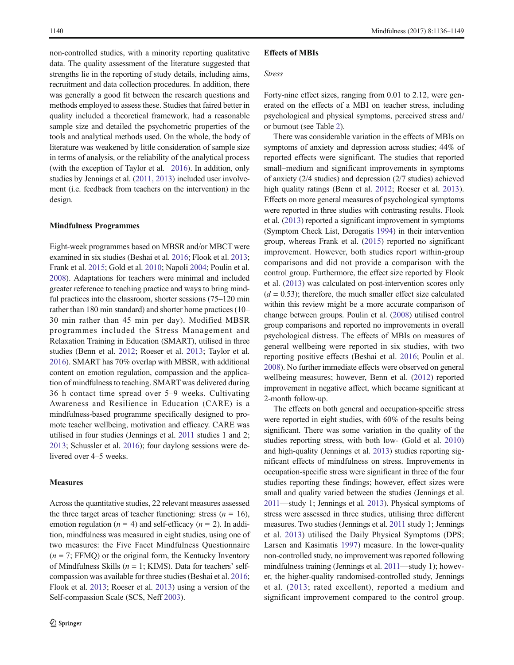non-controlled studies, with a minority reporting qualitative data. The quality assessment of the literature suggested that strengths lie in the reporting of study details, including aims, recruitment and data collection procedures. In addition, there was generally a good fit between the research questions and methods employed to assess these. Studies that faired better in quality included a theoretical framework, had a reasonable sample size and detailed the psychometric properties of the tools and analytical methods used. On the whole, the body of literature was weakened by little consideration of sample size in terms of analysis, or the reliability of the analytical process (with the exception of Taylor et al. 2016). In addition, only studies by Jennings et al. (2011, 2013) included user involvement (i.e. feedback from teachers on the intervention) in the design.

#### Mindfulness Programmes

Eight-week programmes based on MBSR and/or MBCT were examined in six studies (Beshai et al. 2016; Flook et al. 2013; Frank et al. 2015; Gold et al. 2010; Napoli 2004; Poulin et al. 2008). Adaptations for teachers were minimal and included greater reference to teaching practice and ways to bring mindful practices into the classroom, shorter sessions (75–120 min rather than 180 min standard) and shorter home practices (10– 30 min rather than 45 min per day). Modified MBSR programmes included the Stress Management and Relaxation Training in Education (SMART), utilised in three studies (Benn et al. 2012; Roeser et al. 2013; Taylor et al. 2016). SMART has 70% overlap with MBSR, with additional content on emotion regulation, compassion and the application of mindfulness to teaching. SMART was delivered during 36 h contact time spread over 5–9 weeks. Cultivating Awareness and Resilience in Education (CARE) is a mindfulness-based programme specifically designed to promote teacher wellbeing, motivation and efficacy. CARE was utilised in four studies (Jennings et al. 2011 studies 1 and 2; 2013; Schussler et al. 2016); four daylong sessions were delivered over 4–5 weeks.

#### **Measures**

Across the quantitative studies, 22 relevant measures assessed the three target areas of teacher functioning: stress ( $n = 16$ ), emotion regulation ( $n = 4$ ) and self-efficacy ( $n = 2$ ). In addition, mindfulness was measured in eight studies, using one of two measures: the Five Facet Mindfulness Questionnaire  $(n = 7; FFMQ)$  or the original form, the Kentucky Inventory of Mindfulness Skills ( $n = 1$ ; KIMS). Data for teachers' selfcompassion was available for three studies (Beshai et al. 2016; Flook et al. 2013; Roeser et al. 2013) using a version of the Self-compassion Scale (SCS, Neff 2003).

#### Effects of MBIs

## Stress

Forty-nine effect sizes, ranging from 0.01 to 2.12, were generated on the effects of a MBI on teacher stress, including psychological and physical symptoms, perceived stress and/ or burnout (see Table 2).

There was considerable variation in the effects of MBIs on symptoms of anxiety and depression across studies; 44% of reported effects were significant. The studies that reported small–medium and significant improvements in symptoms of anxiety (2/4 studies) and depression (2/7 studies) achieved high quality ratings (Benn et al. 2012; Roeser et al. 2013). Effects on more general measures of psychological symptoms were reported in three studies with contrasting results. Flook et al. (2013) reported a significant improvement in symptoms (Symptom Check List, Derogatis 1994) in their intervention group, whereas Frank et al. (2015) reported no significant improvement. However, both studies report within-group comparisons and did not provide a comparison with the control group. Furthermore, the effect size reported by Flook et al. (2013) was calculated on post-intervention scores only  $(d = 0.53)$ ; therefore, the much smaller effect size calculated within this review might be a more accurate comparison of change between groups. Poulin et al. (2008) utilised control group comparisons and reported no improvements in overall psychological distress. The effects of MBIs on measures of general wellbeing were reported in six studies, with two reporting positive effects (Beshai et al. 2016; Poulin et al. 2008). No further immediate effects were observed on general wellbeing measures; however, Benn et al. (2012) reported improvement in negative affect, which became significant at 2-month follow-up.

The effects on both general and occupation-specific stress were reported in eight studies, with 60% of the results being significant. There was some variation in the quality of the studies reporting stress, with both low- (Gold et al. 2010) and high-quality (Jennings et al. 2013) studies reporting significant effects of mindfulness on stress. Improvements in occupation-specific stress were significant in three of the four studies reporting these findings; however, effect sizes were small and quality varied between the studies (Jennings et al. 2011—study 1; Jennings et al. 2013). Physical symptoms of stress were assessed in three studies, utilising three different measures. Two studies (Jennings et al. 2011 study 1; Jennings et al. 2013) utilised the Daily Physical Symptoms (DPS; Larsen and Kasimatis 1997) measure. In the lower-quality non-controlled study, no improvement was reported following mindfulness training (Jennings et al. 2011—study 1); however, the higher-quality randomised-controlled study, Jennings et al. (2013; rated excellent), reported a medium and significant improvement compared to the control group.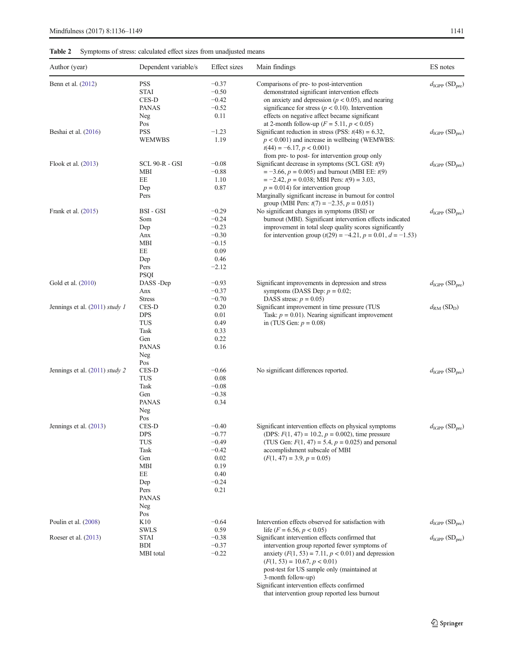# Table 2 Symptoms of stress: calculated effect sizes from unadjusted means

| Author (year)                  | Dependent variable/s | <b>Effect</b> sizes | Main findings                                                                               | ES notes                                               |
|--------------------------------|----------------------|---------------------|---------------------------------------------------------------------------------------------|--------------------------------------------------------|
| Benn et al. (2012)             | <b>PSS</b>           | $-0.37$             | Comparisons of pre- to post-intervention                                                    | $d_{\text{IGPP}}(\text{SD}_{\text{pre}})$              |
|                                | <b>STAI</b>          | $-0.50$             | demonstrated significant intervention effects                                               |                                                        |
|                                | CES-D                | $-0.42$             | on anxiety and depression ( $p < 0.05$ ), and nearing                                       |                                                        |
|                                | <b>PANAS</b>         | $-0.52$             | significance for stress ( $p < 0.10$ ). Intervention                                        |                                                        |
|                                | Neg                  | 0.11                | effects on negative affect became significant                                               |                                                        |
|                                | Pos                  |                     | at 2-month follow-up ( $F = 5.11$ , $p < 0.05$ )                                            |                                                        |
| Beshai et al. (2016)           | <b>PSS</b>           | $-1.23$             | Significant reduction in stress (PSS: $t(48) = 6.32$ ,                                      | $d_{\text{IGPP}}(\text{SD}_{\text{pre}})$              |
|                                | <b>WEMWBS</b>        | 1.19                | $p < 0.001$ ) and increase in wellbeing (WEMWBS:                                            |                                                        |
|                                |                      |                     | $t(44) = -6.17, p < 0.001$                                                                  |                                                        |
|                                |                      |                     | from pre- to post- for intervention group only                                              |                                                        |
| Flook et al. (2013)            | SCL 90-R - GSI       | $-0.08$             | Significant decrease in symptoms (SCL GSI: $t(9)$ )                                         | $d_{\text{IGPP}}(\text{SD}_{\text{pre}})$              |
|                                | MBI                  | $-0.88$             | $=$ -3.66, $p = 0.005$ ) and burnout (MBI EE: $t(9)$ )                                      |                                                        |
|                                | EE                   | 1.10                | $= -2.42$ , $p = 0.038$ ; MBI Pers: $t(9) = 3.03$ ,                                         |                                                        |
|                                | Dep                  | 0.87                | $p = 0.014$ ) for intervention group                                                        |                                                        |
|                                | Pers                 |                     | Marginally significant increase in burnout for control                                      |                                                        |
|                                |                      |                     | group (MBI Pers: $t(7) = -2.35$ , $p = 0.051$ )                                             |                                                        |
| Frank et al. (2015)            | BSI - GSI            | $-0.29$             | No significant changes in symptoms (BSI) or                                                 | $d_{\text{IGPP}}(\text{SD}_{\text{pre}})$              |
|                                | Som                  | $-0.24$             | burnout (MBI). Significant intervention effects indicated                                   |                                                        |
|                                | Dep                  | $-0.23$             | improvement in total sleep quality scores significantly                                     |                                                        |
|                                | Anx                  | $-0.30$             | for intervention group $(t(29) = -4.21, p = 0.01, d = -1.53)$                               |                                                        |
|                                | <b>MBI</b>           | $-0.15$             |                                                                                             |                                                        |
|                                | EE                   | 0.09                |                                                                                             |                                                        |
|                                | Dep                  | 0.46                |                                                                                             |                                                        |
|                                | Pers                 | $-2.12$             |                                                                                             |                                                        |
|                                | <b>PSQI</b>          |                     |                                                                                             |                                                        |
| Gold et al. (2010)             | DASS-Dep             | $-0.93$             | Significant improvements in depression and stress                                           | $d_{\text{IGPP}}(\text{SD}_{\text{pre}})$              |
|                                | Anx                  | $-0.37$             | symptoms (DASS Dep: $p = 0.02$ ;                                                            |                                                        |
|                                | <b>Stress</b>        | $-0.70$             | DASS stress: $p = 0.05$ )                                                                   |                                                        |
| Jennings et al. (2011) study 1 | CES-D                | 0.20                | Significant improvement in time pressure (TUS                                               | $d_{\mathrm{RM}}\left(\mathrm{SD}_{\mathrm{D}}\right)$ |
|                                | <b>DPS</b>           | 0.01                | Task: $p = 0.01$ ). Nearing significant improvement                                         |                                                        |
|                                | TUS                  | 0.49                | in (TUS Gen: $p = 0.08$ )                                                                   |                                                        |
|                                | Task                 | 0.33                |                                                                                             |                                                        |
|                                | Gen                  | 0.22                |                                                                                             |                                                        |
|                                | <b>PANAS</b>         | 0.16                |                                                                                             |                                                        |
|                                | Neg                  |                     |                                                                                             |                                                        |
|                                | Pos                  |                     |                                                                                             |                                                        |
| Jennings et al. (2011) study 2 | CES-D                | $-0.66$             | No significant differences reported.                                                        | $d_{\text{IGPP}}(\text{SD}_{\text{pre}})$              |
|                                | <b>TUS</b>           | 0.08                |                                                                                             |                                                        |
|                                | Task                 | $-0.08$             |                                                                                             |                                                        |
|                                | Gen                  | $-0.38$             |                                                                                             |                                                        |
|                                | <b>PANAS</b>         | 0.34                |                                                                                             |                                                        |
|                                | Neg                  |                     |                                                                                             |                                                        |
|                                | Pos                  |                     |                                                                                             |                                                        |
| Jennings et al. (2013)         | CES-D                | $-0.40$             | Significant intervention effects on physical symptoms                                       | $d_{\text{IGPP}}(\text{SD}_{\text{pre}})$              |
|                                | <b>DPS</b>           | $-0.77$             | (DPS: $F(1, 47) = 10.2$ , $p = 0.002$ ), time pressure                                      |                                                        |
|                                | <b>TUS</b>           | $-0.49$             | (TUS Gen: $F(1, 47) = 5.4$ , $p = 0.025$ ) and personal                                     |                                                        |
|                                | Task                 | $-0.42$             | accomplishment subscale of MBI                                                              |                                                        |
|                                | Gen                  | 0.02                | $(F(1, 47) = 3.9, p = 0.05)$                                                                |                                                        |
|                                | <b>MBI</b>           | 0.19                |                                                                                             |                                                        |
|                                | EE                   | 0.40                |                                                                                             |                                                        |
|                                | Dep                  | $-0.24$             |                                                                                             |                                                        |
|                                | Pers                 | 0.21                |                                                                                             |                                                        |
|                                | <b>PANAS</b>         |                     |                                                                                             |                                                        |
|                                | Neg                  |                     |                                                                                             |                                                        |
|                                | Pos                  |                     |                                                                                             |                                                        |
| Poulin et al. (2008)           | K <sub>10</sub>      | $-0.64$             | Intervention effects observed for satisfaction with                                         | $d_{\rm IGPP}$ $(\mathrm{SD}_\mathrm{pre})$            |
|                                | <b>SWLS</b>          | 0.59                | life ( $F = 6.56$ , $p < 0.05$ )                                                            |                                                        |
| Roeser et al. (2013)           | <b>STAI</b>          | $-0.38$             | Significant intervention effects confirmed that                                             | $d_{\text{IGPP}}(\text{SD}_{\text{pre}})$              |
|                                | <b>BDI</b>           | $-0.37$             | intervention group reported fewer symptoms of                                               |                                                        |
|                                | MBI total            | $-0.22$             | anxiety $(F(1, 53) = 7.11, p < 0.01)$ and depression                                        |                                                        |
|                                |                      |                     | $(F(1, 53) = 10.67, p < 0.01)$                                                              |                                                        |
|                                |                      |                     | post-test for US sample only (maintained at                                                 |                                                        |
|                                |                      |                     | 3-month follow-up)                                                                          |                                                        |
|                                |                      |                     |                                                                                             |                                                        |
|                                |                      |                     |                                                                                             |                                                        |
|                                |                      |                     | Significant intervention effects confirmed<br>that intervention group reported less burnout |                                                        |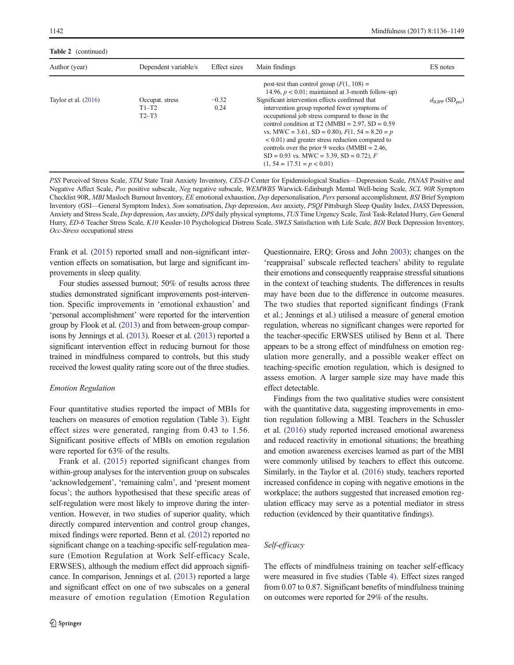Table 2 (continued)

| Author (year)          | Dependent variable/s                  | Effect sizes    | Main findings                                                                                                                                                                                                                                                                                                                                                                                                                                                                                                                                                      | ES notes                                  |
|------------------------|---------------------------------------|-----------------|--------------------------------------------------------------------------------------------------------------------------------------------------------------------------------------------------------------------------------------------------------------------------------------------------------------------------------------------------------------------------------------------------------------------------------------------------------------------------------------------------------------------------------------------------------------------|-------------------------------------------|
| Taylor et al. $(2016)$ | Occupat. stress<br>$T1-T2$<br>$T2-T3$ | $-0.32$<br>0.24 | post-test than control group $(F(1, 108)) =$<br>14.96, $p < 0.01$ ; maintained at 3-month follow-up)<br>Significant intervention effects confirmed that<br>intervention group reported fewer symptoms of<br>occupational job stress compared to those in the<br>control condition at T2 (MMBI = $2.97$ , SD = $0.59$ )<br>vs. MWC = 3.61, SD = 0.80), $F(1, 54 = 8.20 = p$<br>$< 0.01$ ) and greater stress reduction compared to<br>controls over the prior 9 weeks (MMBI = $2.46$ ,<br>$SD = 0.93$ vs. MWC = 3.39, SD = 0.72), F<br>$(1, 54 = 17.51 = p < 0.01)$ | $d_{\text{IGPP}}(\text{SD}_{\text{pre}})$ |

PSS Perceived Stress Scale, STAI State Trait Anxiety Inventory, CES-D Center for Epidemiological Studies—Depression Scale, PANAS Positive and Negative Affect Scale, Pos positive subscale, Neg negative subscale, WEMWBS Warwick-Edinburgh Mental Well-being Scale, SCL 90R Symptom Checklist 90R, MBI Masloch Burnout Inventory, EE emotional exhaustion, Dep depersonalisation, Pers personal accomplishment, BSI Brief Symptom Inventory (GSI—General Symptom Index), Som somatisation, Dep depression, Anx anxiety, PSQI Pittsburgh Sleep Quality Index, DASS Depression, Anxiety and Stress Scale, Dep depression, Anx anxiety, DPS daily physical symptoms, TUS Time Urgency Scale, Task Task-Related Hurry, Gen General Hurry, ED-6 Teacher Stress Scale, K10 Kessler-10 Psychological Distress Scale, SWLS Satisfaction with Life Scale, BDI Beck Depression Inventory, Occ-Stress occupational stress

Frank et al. (2015) reported small and non-significant intervention effects on somatisation, but large and significant improvements in sleep quality.

Four studies assessed burnout; 50% of results across three studies demonstrated significant improvements post-intervention. Specific improvements in 'emotional exhaustion' and 'personal accomplishment' were reported for the intervention group by Flook et al. (2013) and from between-group comparisons by Jennings et al. (2013). Roeser et al. (2013) reported a significant intervention effect in reducing burnout for those trained in mindfulness compared to controls, but this study received the lowest quality rating score out of the three studies.

### Emotion Regulation

Four quantitative studies reported the impact of MBIs for teachers on measures of emotion regulation (Table 3). Eight effect sizes were generated, ranging from 0.43 to 1.56. Significant positive effects of MBIs on emotion regulation were reported for 63% of the results.

Frank et al. (2015) reported significant changes from within-group analyses for the intervention group on subscales 'acknowledgement', 'remaining calm', and 'present moment focus'; the authors hypothesised that these specific areas of self-regulation were most likely to improve during the intervention. However, in two studies of superior quality, which directly compared intervention and control group changes, mixed findings were reported. Benn et al. (2012) reported no significant change on a teaching-specific self-regulation measure (Emotion Regulation at Work Self-efficacy Scale, ERWSES), although the medium effect did approach significance. In comparison, Jennings et al. (2013) reported a large and significant effect on one of two subscales on a general measure of emotion regulation (Emotion Regulation

Questionnaire, ERQ; Gross and John 2003); changes on the 'reappraisal' subscale reflected teachers' ability to regulate their emotions and consequently reappraise stressful situations in the context of teaching students. The differences in results may have been due to the difference in outcome measures. The two studies that reported significant findings (Frank et al.; Jennings et al.) utilised a measure of general emotion regulation, whereas no significant changes were reported for the teacher-specific ERWSES utilised by Benn et al. There appears to be a strong effect of mindfulness on emotion regulation more generally, and a possible weaker effect on teaching-specific emotion regulation, which is designed to assess emotion. A larger sample size may have made this effect detectable.

Findings from the two qualitative studies were consistent with the quantitative data, suggesting improvements in emotion regulation following a MBI. Teachers in the Schussler et al. (2016) study reported increased emotional awareness and reduced reactivity in emotional situations; the breathing and emotion awareness exercises learned as part of the MBI were commonly utilised by teachers to effect this outcome. Similarly, in the Taylor et al. (2016) study, teachers reported increased confidence in coping with negative emotions in the workplace; the authors suggested that increased emotion regulation efficacy may serve as a potential mediator in stress reduction (evidenced by their quantitative findings).

# Self-efficacy

The effects of mindfulness training on teacher self-efficacy were measured in five studies (Table 4). Effect sizes ranged from 0.07 to 0.87. Significant benefits of mindfulness training on outcomes were reported for 29% of the results.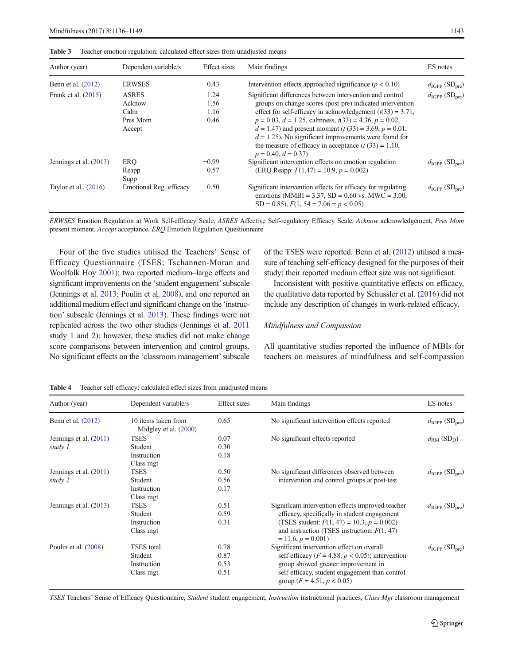| Author (year)           | Dependent variable/s                                 | Effect sizes                 | Main findings                                                                                                                                                                                                                                                                                                                                                                                                                                                         | ES notes                                  |
|-------------------------|------------------------------------------------------|------------------------------|-----------------------------------------------------------------------------------------------------------------------------------------------------------------------------------------------------------------------------------------------------------------------------------------------------------------------------------------------------------------------------------------------------------------------------------------------------------------------|-------------------------------------------|
| Benn et al. (2012)      | <b>ERWSES</b>                                        | 0.43                         | Intervention effects approached significance ( $p < 0.10$ )                                                                                                                                                                                                                                                                                                                                                                                                           | $d_{\text{IGPP}}(\text{SD}_{\text{pre}})$ |
| Frank et al. $(2015)$   | <b>ASRES</b><br>Acknow<br>Calm<br>Pres Mom<br>Accept | 1.24<br>1.56<br>1.16<br>0.46 | Significant differences between intervention and control<br>groups on change scores (post-pre) indicated intervention<br>effect for self-efficacy in acknowledgement $(t(33) = 3.71$ ,<br>$p = 0.03$ , $d = 1.25$ , calmness, $t(33) = 4.36$ , $p = 0.02$ ,<br>$d = 1.47$ and present moment (t (33) = 3.69, p = 0.01,<br>$d = 1.25$ ). No significant improvements were found for<br>the measure of efficacy in acceptance $(t(33) = 1.10$ ,<br>$p = 0.40, d = 0.37$ | $d_{\text{IGPP}}(\text{SD}_{\text{pre}})$ |
| Jennings et al. (2013)  | ERO<br>Reapp<br>Supp                                 | $-0.99$<br>$-0.57$           | Significant intervention effects on emotion regulation<br>(ERQ Reapp: $F(1,47) = 10.9, p = 0.002$ )                                                                                                                                                                                                                                                                                                                                                                   | $d_{\text{IGPP}}(\text{SD}_{\text{pre}})$ |
| Taylor et al., $(2016)$ | Emotional Reg. efficacy                              | 0.50                         | Significant intervention effects for efficacy for regulating<br>emotions (MMBI = 3.37, SD = $0.60$ vs. MWC = 3.00,<br>$SD = 0.85$ , $F(1, 54 = 7.06 = p < 0.05)$                                                                                                                                                                                                                                                                                                      | $d_{\text{IGPP}}(\text{SD}_{\text{pre}})$ |

Table 3 Teacher emotion regulation: calculated effect sizes from unadjusted means

ERWSES Emotion Regulation at Work Self-efficacy Scale, ASRES Affective Self-regulatory Efficacy Scale, Acknow acknowledgement, Pres Mom present moment, Accept acceptance, ERQ Emotion Regulation Questionnaire

Four of the five studies utilised the Teachers' Sense of Efficacy Questionnaire (TSES; Tschannen-Moran and Woolfolk Hoy 2001); two reported medium–large effects and significant improvements on the 'student engagement' subscale (Jennings et al. 2013; Poulin et al. 2008), and one reported an additional medium effect and significant change on the 'instruction' subscale (Jennings et al. 2013). These findings were not replicated across the two other studies (Jennings et al. 2011 study 1 and 2); however, these studies did not make change score comparisons between intervention and control groups. No significant effects on the 'classroom management'subscale

of the TSES were reported. Benn et al. (2012) utilised a measure of teaching self-efficacy designed for the purposes of their study; their reported medium effect size was not significant.

Inconsistent with positive quantitative effects on efficacy, the qualitative data reported by Schussler et al. (2016) did not include any description of changes in work-related efficacy.

#### Mindfulness and Compassion

All quantitative studies reported the influence of MBIs for teachers on measures of mindfulness and self-compassion

| Author (year)            | Dependent variable/s                         | Effect sizes | Main findings                                                                       | ES notes                                  |
|--------------------------|----------------------------------------------|--------------|-------------------------------------------------------------------------------------|-------------------------------------------|
| Benn et al. (2012)       | 10 items taken from<br>Midgley et al. (2000) | 0.65         | No significant intervention effects reported                                        | $d_{\text{IGPP}}(\text{SD}_{\text{pre}})$ |
| Jennings et al. $(2011)$ | <b>TSES</b>                                  | 0.07         | No significant effects reported                                                     | $d_{RM}$ (SD <sub>D</sub> )               |
| study 1                  | Student                                      | 0.30         |                                                                                     |                                           |
|                          | Instruction                                  | 0.18         |                                                                                     |                                           |
|                          | Class mgt                                    |              |                                                                                     |                                           |
| Jennings et al. $(2011)$ | <b>TSES</b>                                  | 0.50         | No significant differences observed between                                         | $d_{\text{IGPP}}(\text{SD}_{\text{pre}})$ |
| study 2                  | Student                                      | 0.56         | intervention and control groups at post-test                                        |                                           |
|                          | Instruction                                  | 0.17         |                                                                                     |                                           |
|                          | Class mgt                                    |              |                                                                                     |                                           |
| Jennings et al. (2013)   | <b>TSES</b>                                  | 0.51         | Significant intervention effects improved teacher                                   | $d_{\text{IGPP}}(\text{SD}_{\text{pre}})$ |
|                          | Student                                      | 0.59         | efficacy, specifically in student engagement                                        |                                           |
|                          | Instruction                                  | 0.31         | (TSES student: $F(1, 47) = 10.3$ , $p = 0.002$ )                                    |                                           |
|                          | Class mgt                                    |              | and instruction (TSES instruction: $F(1, 47)$ )<br>$= 11.6, p = 0.001$              |                                           |
| Poulin et al. (2008)     | <b>TSES</b> total                            | 0.78         | Significant intervention effect on overall                                          | $d_{\text{IGPP}}(\text{SD}_{\text{pre}})$ |
|                          | Student                                      | 0.87         | self-efficacy ( $F = 4.88$ , $p < 0.05$ ); intervention                             |                                           |
|                          | Instruction                                  | 0.53         | group showed greater improvement in                                                 |                                           |
|                          | Class mgt                                    | 0.51         | self-efficacy, student engagement than control<br>group ( $F = 4.51$ , $p < 0.05$ ) |                                           |

Table 4 Teacher self-efficacy: calculated effect sizes from unadjusted means

TSES Teachers' Sense of Efficacy Questionnaire, Student student engagement, Instruction instructional practices, Class Mgt classroom management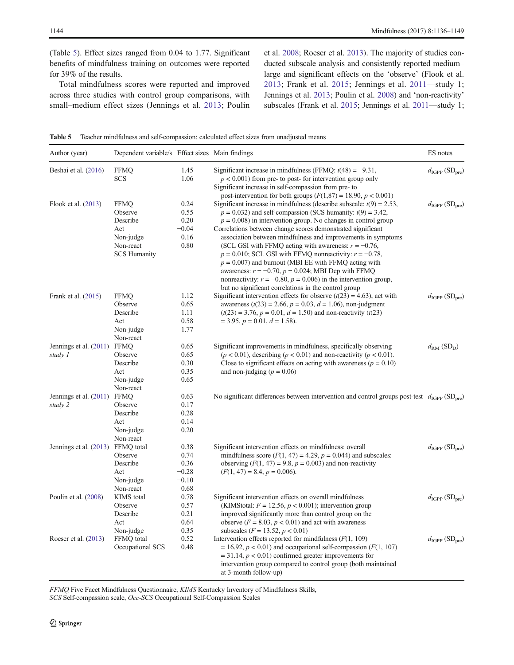(Table 5). Effect sizes ranged from 0.04 to 1.77. Significant benefits of mindfulness training on outcomes were reported for 39% of the results.

Total mindfulness scores were reported and improved across three studies with control group comparisons, with small–medium effect sizes (Jennings et al. 2013; Poulin

et al. 2008; Roeser et al. 2013). The majority of studies conducted subscale analysis and consistently reported medium– large and significant effects on the 'observe' (Flook et al. 2013; Frank et al. 2015; Jennings et al. 2011—study 1; Jennings et al. 2013; Poulin et al. 2008) and 'non-reactivity' subscales (Frank et al. 2015; Jennings et al. 2011—study 1;

Table 5 Teacher mindfulness and self-compassion: calculated effect sizes from unadjusted means

| Author (year)                          | Dependent variable/s Effect sizes Main findings                                            |                                                    |                                                                                                                                                                                                                                                                                                                                                                                                                                                                                                                                                                                                                                                                                                                                   | ES notes                                  |
|----------------------------------------|--------------------------------------------------------------------------------------------|----------------------------------------------------|-----------------------------------------------------------------------------------------------------------------------------------------------------------------------------------------------------------------------------------------------------------------------------------------------------------------------------------------------------------------------------------------------------------------------------------------------------------------------------------------------------------------------------------------------------------------------------------------------------------------------------------------------------------------------------------------------------------------------------------|-------------------------------------------|
| Beshai et al. (2016)                   | <b>FFMQ</b><br><b>SCS</b>                                                                  | 1.45<br>1.06                                       | Significant increase in mindfulness (FFMQ: $t(48) = -9.31$ ,<br>$p < 0.001$ ) from pre- to post- for intervention group only<br>Significant increase in self-compassion from pre-to<br>post-intervention for both groups $(F(1,87) = 18.90, p < 0.001)$                                                                                                                                                                                                                                                                                                                                                                                                                                                                           | $d_{\text{IGPP}}(\text{SD}_{\text{pre}})$ |
| Flook et al. (2013)                    | <b>FFMQ</b><br>Observe<br>Describe<br>Act<br>Non-judge<br>Non-react<br><b>SCS Humanity</b> | 0.24<br>0.55<br>0.20<br>$-0.04$<br>0.16<br>0.80    | Significant increase in mindfulness (describe subscale: $t(9) = 2.53$ ,<br>$p = 0.032$ ) and self-compassion (SCS humanity: $t(9) = 3.42$ ,<br>$p = 0.008$ ) in intervention group. No changes in control group<br>Correlations between change scores demonstrated significant<br>association between mindfulness and improvements in symptoms<br>(SCL GSI with FFMQ acting with awareness: $r = -0.76$ ,<br>$p = 0.010$ ; SCL GSI with FFMO nonreactivity: $r = -0.78$ ,<br>$p = 0.007$ ) and burnout (MBI EE with FFMQ acting with<br>awareness: $r = -0.70$ , $p = 0.024$ ; MBI Dep with FFMQ<br>nonreactivity: $r = -0.80$ , $p = 0.006$ ) in the intervention group,<br>but no significant correlations in the control group | $d_{\text{IGPP}}(\text{SD}_{\text{pre}})$ |
| Frank et al. (2015)                    | <b>FFMQ</b><br>Observe<br>Describe<br>Act<br>Non-judge<br>Non-react                        | 1.12<br>0.65<br>1.11<br>0.58<br>1.77               | Significant intervention effects for observe $(t(23) = 4.63)$ , act with<br>awareness ( $t(23) = 2.66$ , $p = 0.03$ , $d = 1.06$ ), non-judgment<br>$(t(23) = 3.76, p = 0.01, d = 1.50)$ and non-reactivity $(t(23))$<br>$=$ 3.95, $p = 0.01$ , $d = 1.58$ ).                                                                                                                                                                                                                                                                                                                                                                                                                                                                     | $d_{\text{IGPP}}(\text{SD}_{\text{pre}})$ |
| Jennings et al. (2011) FFMQ<br>study 1 | Observe<br>Describe<br>Act<br>Non-judge<br>Non-react                                       | 0.65<br>0.65<br>0.30<br>0.35<br>0.65               | Significant improvements in mindfulness, specifically observing<br>$(p < 0.01)$ , describing $(p < 0.01)$ and non-reactivity $(p < 0.01)$ .<br>Close to significant effects on acting with awareness ( $p = 0.10$ )<br>and non-judging ( $p = 0.06$ )                                                                                                                                                                                                                                                                                                                                                                                                                                                                             | $d_{\rm RM}$ (SD <sub>D</sub> )           |
| Jennings et al. (2011) FFMQ<br>study 2 | Observe<br>Describe<br>Act<br>Non-judge<br>Non-react                                       | 0.63<br>0.17<br>$-0.28$<br>0.14<br>0.20            | No significant differences between intervention and control groups post-test $d_{\text{IGPP}}(\text{SD}_{\text{pre}})$                                                                                                                                                                                                                                                                                                                                                                                                                                                                                                                                                                                                            |                                           |
| Jennings et al. (2013) FFMQ total      | Observe<br>Describe<br>Act<br>Non-judge<br>Non-react                                       | 0.38<br>0.74<br>0.36<br>$-0.28$<br>$-0.10$<br>0.68 | Significant intervention effects on mindfulness: overall<br>mindfulness score $(F(1, 47) = 4.29, p = 0.044)$ and subscales:<br>observing $(F(1, 47) = 9.8, p = 0.003)$ and non-reactivity<br>$(F(1, 47) = 8.4, p = 0.006).$                                                                                                                                                                                                                                                                                                                                                                                                                                                                                                       | $d_{\text{IGPP}}(\text{SD}_{\text{pre}})$ |
| Poulin et al. (2008)                   | <b>KIMS</b> total<br>Observe<br>Describe<br>Act<br>Non-judge                               | 0.78<br>0.57<br>0.21<br>0.64<br>0.35               | Significant intervention effects on overall mindfulness<br>(KIMStotal: $F = 12.56$ , $p < 0.001$ ); intervention group<br>improved significantly more than control group on the<br>observe ( $F = 8.03$ , $p < 0.01$ ) and act with awareness<br>subscales ( $F = 13.52, p < 0.01$ )                                                                                                                                                                                                                                                                                                                                                                                                                                              | $d_{\text{IGPP}}(\text{SD}_{\text{pre}})$ |
| Roeser et al. $(2013)$                 | FFMQ total<br>Occupational SCS                                                             | 0.52<br>0.48                                       | Intervention effects reported for mindfulness $(F(1, 109))$<br>$= 16.92, p < 0.01$ ) and occupational self-compassion ( $F(1, 107)$ )<br>$=$ 31.14, $p < 0.01$ ) confirmed greater improvements for<br>intervention group compared to control group (both maintained<br>at 3-month follow-up)                                                                                                                                                                                                                                                                                                                                                                                                                                     | $d_{\text{IGPP}}(\text{SD}_{\text{pre}})$ |

FFMQ Five Facet Mindfulness Questionnaire, KIMS Kentucky Inventory of Mindfulness Skills,

SCS Self-compassion scale, Occ-SCS Occupational Self-Compassion Scales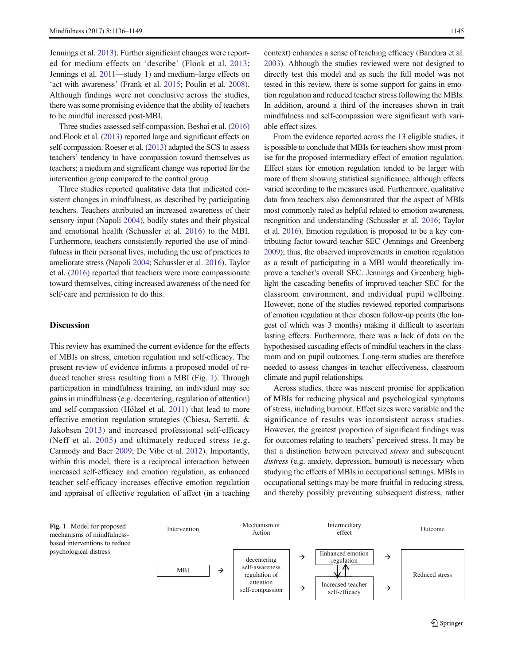Jennings et al. 2013). Further significant changes were reported for medium effects on 'describe' (Flook et al. 2013; Jennings et al. 2011—study 1) and medium–large effects on 'act with awareness' (Frank et al. 2015; Poulin et al. 2008). Although findings were not conclusive across the studies, there was some promising evidence that the ability of teachers to be mindful increased post-MBI.

Three studies assessed self-compassion. Beshai et al. (2016) and Flook et al. (2013) reported large and significant effects on self-compassion. Roeser et al. (2013) adapted the SCS to assess teachers' tendency to have compassion toward themselves as teachers; a medium and significant change was reported for the intervention group compared to the control group.

Three studies reported qualitative data that indicated consistent changes in mindfulness, as described by participating teachers. Teachers attributed an increased awareness of their sensory input (Napoli 2004), bodily states and their physical and emotional health (Schussler et al. 2016) to the MBI. Furthermore, teachers consistently reported the use of mindfulness in their personal lives, including the use of practices to ameliorate stress (Napoli 2004; Schussler et al. 2016). Taylor et al. (2016) reported that teachers were more compassionate toward themselves, citing increased awareness of the need for self-care and permission to do this.

#### **Discussion**

This review has examined the current evidence for the effects of MBIs on stress, emotion regulation and self-efficacy. The present review of evidence informs a proposed model of reduced teacher stress resulting from a MBI (Fig. 1). Through participation in mindfulness training, an individual may see gains in mindfulness (e.g. decentering, regulation of attention) and self-compassion (Hölzel et al. 2011) that lead to more effective emotion regulation strategies (Chiesa, Serretti, & Jakobsen 2013) and increased professional self-efficacy (Neff et al. 2005) and ultimately reduced stress (e.g. Carmody and Baer 2009; De Vibe et al. 2012). Importantly, within this model, there is a reciprocal interaction between increased self-efficacy and emotion regulation, as enhanced teacher self-efficacy increases effective emotion regulation and appraisal of effective regulation of affect (in a teaching

context) enhances a sense of teaching efficacy (Bandura et al. 2003). Although the studies reviewed were not designed to directly test this model and as such the full model was not tested in this review, there is some support for gains in emotion regulation and reduced teacher stress following the MBIs. In addition, around a third of the increases shown in trait mindfulness and self-compassion were significant with variable effect sizes.

From the evidence reported across the 13 eligible studies, it is possible to conclude that MBIs for teachers show most promise for the proposed intermediary effect of emotion regulation. Effect sizes for emotion regulation tended to be larger with more of them showing statistical significance, although effects varied according to the measures used. Furthermore, qualitative data from teachers also demonstrated that the aspect of MBIs most commonly rated as helpful related to emotion awareness, recognition and understanding (Schussler et al. 2016; Taylor et al. 2016). Emotion regulation is proposed to be a key contributing factor toward teacher SEC (Jennings and Greenberg 2009); thus, the observed improvements in emotion regulation as a result of participating in a MBI would theoretically improve a teacher's overall SEC. Jennings and Greenberg highlight the cascading benefits of improved teacher SEC for the classroom environment, and individual pupil wellbeing. However, none of the studies reviewed reported comparisons of emotion regulation at their chosen follow-up points (the longest of which was 3 months) making it difficult to ascertain lasting effects. Furthermore, there was a lack of data on the hypothesised cascading effects of mindful teachers in the classroom and on pupil outcomes. Long-term studies are therefore needed to assess changes in teacher effectiveness, classroom climate and pupil relationships.

Across studies, there was nascent promise for application of MBIs for reducing physical and psychological symptoms of stress, including burnout. Effect sizes were variable and the significance of results was inconsistent across studies. However, the greatest proportion of significant findings was for outcomes relating to teachers' perceived stress. It may be that a distinction between perceived stress and subsequent distress (e.g. anxiety, depression, burnout) is necessary when studying the effects of MBIs in occupational settings. MBIs in occupational settings may be more fruitful in reducing stress, and thereby possibly preventing subsequent distress, rather

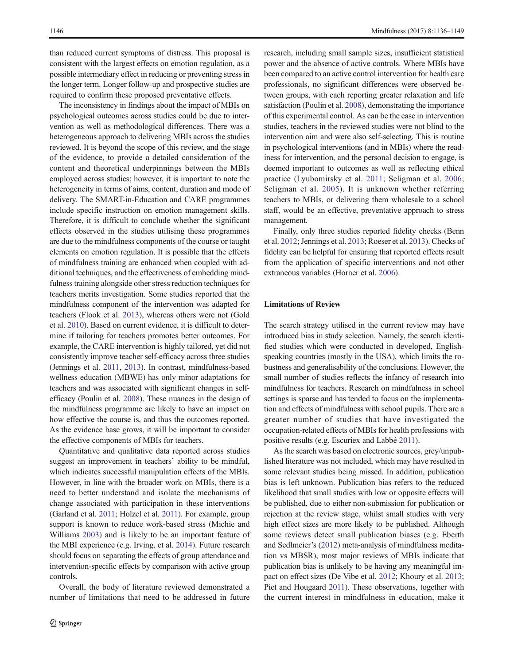than reduced current symptoms of distress. This proposal is consistent with the largest effects on emotion regulation, as a possible intermediary effect in reducing or preventing stress in the longer term. Longer follow-up and prospective studies are required to confirm these proposed preventative effects.

The inconsistency in findings about the impact of MBIs on psychological outcomes across studies could be due to intervention as well as methodological differences. There was a heterogeneous approach to delivering MBIs across the studies reviewed. It is beyond the scope of this review, and the stage of the evidence, to provide a detailed consideration of the content and theoretical underpinnings between the MBIs employed across studies; however, it is important to note the heterogeneity in terms of aims, content, duration and mode of delivery. The SMART-in-Education and CARE programmes include specific instruction on emotion management skills. Therefore, it is difficult to conclude whether the significant effects observed in the studies utilising these programmes are due to the mindfulness components of the course or taught elements on emotion regulation. It is possible that the effects of mindfulness training are enhanced when coupled with additional techniques, and the effectiveness of embedding mindfulness training alongside other stress reduction techniques for teachers merits investigation. Some studies reported that the mindfulness component of the intervention was adapted for teachers (Flook et al. 2013), whereas others were not (Gold et al. 2010). Based on current evidence, it is difficult to determine if tailoring for teachers promotes better outcomes. For example, the CARE intervention is highly tailored, yet did not consistently improve teacher self-efficacy across three studies (Jennings et al. 2011, 2013). In contrast, mindfulness-based wellness education (MBWE) has only minor adaptations for teachers and was associated with significant changes in selfefficacy (Poulin et al. 2008). These nuances in the design of the mindfulness programme are likely to have an impact on how effective the course is, and thus the outcomes reported. As the evidence base grows, it will be important to consider the effective components of MBIs for teachers.

Quantitative and qualitative data reported across studies suggest an improvement in teachers' ability to be mindful, which indicates successful manipulation effects of the MBIs. However, in line with the broader work on MBIs, there is a need to better understand and isolate the mechanisms of change associated with participation in these interventions (Garland et al. 2011; Holzel et al. 2011). For example, group support is known to reduce work-based stress (Michie and Williams 2003) and is likely to be an important feature of the MBI experience (e.g. Irving, et al. 2014). Future research should focus on separating the effects of group attendance and intervention-specific effects by comparison with active group controls.

Overall, the body of literature reviewed demonstrated a number of limitations that need to be addressed in future research, including small sample sizes, insufficient statistical power and the absence of active controls. Where MBIs have been compared to an active control intervention for health care professionals, no significant differences were observed between groups, with each reporting greater relaxation and life satisfaction (Poulin et al. 2008), demonstrating the importance of this experimental control. As can be the case in intervention studies, teachers in the reviewed studies were not blind to the intervention aim and were also self-selecting. This is routine in psychological interventions (and in MBIs) where the readiness for intervention, and the personal decision to engage, is deemed important to outcomes as well as reflecting ethical practice (Lyubomirsky et al. 2011; Seligman et al. 2006; Seligman et al. 2005). It is unknown whether referring teachers to MBIs, or delivering them wholesale to a school staff, would be an effective, preventative approach to stress management.

Finally, only three studies reported fidelity checks (Benn et al. 2012; Jennings et al. 2013; Roeser et al. 2013). Checks of fidelity can be helpful for ensuring that reported effects result from the application of specific interventions and not other extraneous variables (Horner et al. 2006).

# Limitations of Review

The search strategy utilised in the current review may have introduced bias in study selection. Namely, the search identified studies which were conducted in developed, Englishspeaking countries (mostly in the USA), which limits the robustness and generalisability of the conclusions. However, the small number of studies reflects the infancy of research into mindfulness for teachers. Research on mindfulness in school settings is sparse and has tended to focus on the implementation and effects of mindfulness with school pupils. There are a greater number of studies that have investigated the occupation-related effects of MBIs for health professions with positive results (e.g. Escuriex and Labbé 2011).

As the search was based on electronic sources, grey/unpublished literature was not included, which may have resulted in some relevant studies being missed. In addition, publication bias is left unknown. Publication bias refers to the reduced likelihood that small studies with low or opposite effects will be published, due to either non-submission for publication or rejection at the review stage, whilst small studies with very high effect sizes are more likely to be published. Although some reviews detect small publication biases (e.g. Eberth and Sedlmeier's (2012) meta-analysis of mindfulness meditation vs MBSR), most major reviews of MBIs indicate that publication bias is unlikely to be having any meaningful impact on effect sizes (De Vibe et al. 2012; Khoury et al. 2013; Piet and Hougaard 2011). These observations, together with the current interest in mindfulness in education, make it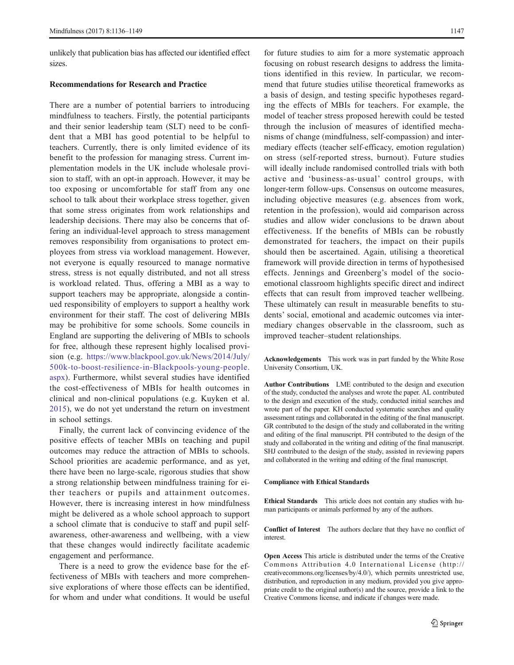unlikely that publication bias has affected our identified effect sizes.

#### Recommendations for Research and Practice

There are a number of potential barriers to introducing mindfulness to teachers. Firstly, the potential participants and their senior leadership team (SLT) need to be confident that a MBI has good potential to be helpful to teachers. Currently, there is only limited evidence of its benefit to the profession for managing stress. Current implementation models in the UK include wholesale provision to staff, with an opt-in approach. However, it may be too exposing or uncomfortable for staff from any one school to talk about their workplace stress together, given that some stress originates from work relationships and leadership decisions. There may also be concerns that offering an individual-level approach to stress management removes responsibility from organisations to protect employees from stress via workload management. However, not everyone is equally resourced to manage normative stress, stress is not equally distributed, and not all stress is workload related. Thus, offering a MBI as a way to support teachers may be appropriate, alongside a continued responsibility of employers to support a healthy work environment for their staff. The cost of delivering MBIs may be prohibitive for some schools. Some councils in England are supporting the delivering of MBIs to schools for free, although these represent highly localised provision (e.g. https://www.blackpool.gov.uk/News/2014/July/ 500k-to-boost-resilience-in-Blackpools-young-people. aspx). Furthermore, whilst several studies have identified the cost-effectiveness of MBIs for health outcomes in clinical and non-clinical populations (e.g. Kuyken et al. 2015), we do not yet understand the return on investment in school settings.

Finally, the current lack of convincing evidence of the positive effects of teacher MBIs on teaching and pupil outcomes may reduce the attraction of MBIs to schools. School priorities are academic performance, and as yet, there have been no large-scale, rigorous studies that show a strong relationship between mindfulness training for either teachers or pupils and attainment outcomes. However, there is increasing interest in how mindfulness might be delivered as a whole school approach to support a school climate that is conducive to staff and pupil selfawareness, other-awareness and wellbeing, with a view that these changes would indirectly facilitate academic engagement and performance.

There is a need to grow the evidence base for the effectiveness of MBIs with teachers and more comprehensive explorations of where those effects can be identified, for whom and under what conditions. It would be useful for future studies to aim for a more systematic approach focusing on robust research designs to address the limitations identified in this review. In particular, we recommend that future studies utilise theoretical frameworks as a basis of design, and testing specific hypotheses regarding the effects of MBIs for teachers. For example, the model of teacher stress proposed herewith could be tested through the inclusion of measures of identified mechanisms of change (mindfulness, self-compassion) and intermediary effects (teacher self-efficacy, emotion regulation) on stress (self-reported stress, burnout). Future studies will ideally include randomised controlled trials with both active and 'business-as-usual' control groups, with longer-term follow-ups. Consensus on outcome measures, including objective measures (e.g. absences from work, retention in the profession), would aid comparison across studies and allow wider conclusions to be drawn about effectiveness. If the benefits of MBIs can be robustly demonstrated for teachers, the impact on their pupils should then be ascertained. Again, utilising a theoretical framework will provide direction in terms of hypothesised effects. Jennings and Greenberg's model of the socioemotional classroom highlights specific direct and indirect effects that can result from improved teacher wellbeing. These ultimately can result in measurable benefits to students' social, emotional and academic outcomes via intermediary changes observable in the classroom, such as improved teacher–student relationships.

Acknowledgements This work was in part funded by the White Rose University Consortium, UK.

Author Contributions LME contributed to the design and execution of the study, conducted the analyses and wrote the paper. AL contributed to the design and execution of the study, conducted initial searches and wrote part of the paper. KH conducted systematic searches and quality assessment ratings and collaborated in the editing of the final manuscript. GR contributed to the design of the study and collaborated in the writing and editing of the final manuscript. PH contributed to the design of the study and collaborated in the writing and editing of the final manuscript. SHJ contributed to the design of the study, assisted in reviewing papers and collaborated in the writing and editing of the final manuscript.

#### Compliance with Ethical Standards

Ethical Standards This article does not contain any studies with human participants or animals performed by any of the authors.

Conflict of Interest The authors declare that they have no conflict of interest.

Open Access This article is distributed under the terms of the Creative Commons Attribution 4.0 International License (http:// creativecommons.org/licenses/by/4.0/), which permits unrestricted use, distribution, and reproduction in any medium, provided you give appropriate credit to the original author(s) and the source, provide a link to the Creative Commons license, and indicate if changes were made.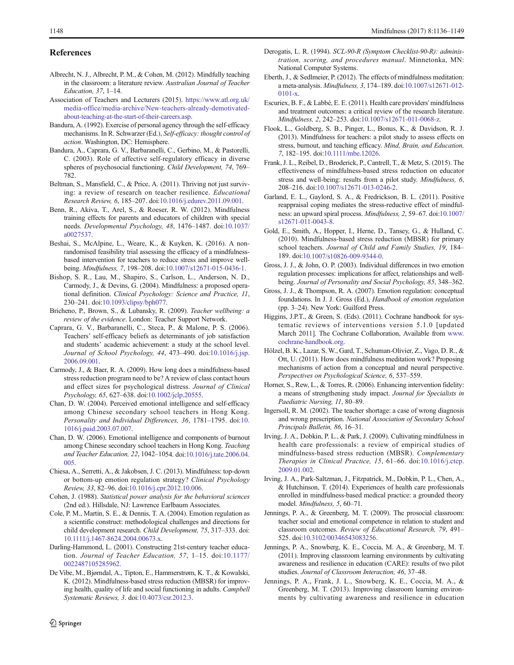#### References

- Albrecht, N. J., Albrecht, P. M., & Cohen, M. (2012). Mindfully teaching in the classroom: a literature review. Australian Journal of Teacher Education, 37, 1–14.
- Association of Teachers and Lecturers (2015). https://www.atl.org.uk/ media-office/media-archive/New-teachers-already-demotivatedabout-teaching-at-the-start-of-their-careers.asp.
- Bandura, A. (1992). Exercise of personal agency through the self-efficacy mechanisms. In R. Schwarzer (Ed.), Self-efficacy: thought control of action. Washington, DC: Hemisphere.
- Bandura, A., Caprara, G. V., Barbaranelli, C., Gerbino, M., & Pastorelli, C. (2003). Role of affective self-regulatory efficacy in diverse spheres of psychosocial functioning. Child Development, 74, 769– 782.
- Beltman, S., Mansfield, C., & Price, A. (2011). Thriving not just surviving: a review of research on teacher resilience. Educational Research Review, 6, 185–207. doi:10.1016/j.edurev.2011.09.001.
- Benn, R., Akiva, T., Arel, S., & Roeser, R. W. (2012). Mindfulness training effects for parents and educators of children with special needs. Developmental Psychology, 48, 1476–1487. doi:10.1037/ a0027537.
- Beshai, S., McAlpine, L., Weare, K., & Kuyken, K. (2016). A nonrandomised feasibility trial assessing the efficacy of a mindfulnessbased intervention for teachers to reduce stress and improve wellbeing. Mindfulness, 7, 198–208. doi:10.1007/s12671-015-0436-1.
- Bishop, S. R., Lau, M., Shapiro, S., Carlson, L., Anderson, N. D., Carmody, J., & Devins, G. (2004). Mindfulness: a proposed operational definition. Clinical Psychology: Science and Practice, 11, 230–241. doi:10.1093/clipsy/bph077.
- Bricheno, P., Brown, S., & Lubansky, R. (2009). Teacher wellbeing: a review of the evidence. London: Teacher Support Network.
- Caprara, G. V., Barbaranelli, C., Steca, P., & Malone, P. S. (2006). Teachers' self-efficacy beliefs as determinants of job satisfaction and students' academic achievement: a study at the school level. Journal of School Psychology, 44, 473–490. doi:10.1016/j.jsp. 2006.09.001.
- Carmody, J., & Baer, R. A. (2009). How long does a mindfulness-based stress reduction program need to be? A review of class contact hours and effect sizes for psychological distress. Journal of Clinical Psychology, 65, 627–638. doi:10.1002/jclp.20555.
- Chan, D. W. (2004). Perceived emotional intelligence and self-efficacy among Chinese secondary school teachers in Hong Kong. Personality and Individual Differences, 36, 1781–1795. doi:10. 1016/j.paid.2003.07.007.
- Chan, D. W. (2006). Emotional intelligence and components of burnout among Chinese secondary school teachers in Hong Kong. Teaching and Teacher Education, 22, 1042–1054. doi:10.1016/j.tate.2006.04. 005.
- Chiesa, A., Serretti, A., & Jakobsen, J. C. (2013). Mindfulness: top-down or bottom-up emotion regulation strategy? Clinical Psychology Review, 33, 82–96. doi:10.1016/j.cpr.2012.10.006.
- Cohen, J. (1988). Statistical power analysis for the behavioral sciences (2nd ed.). Hillsdale, NJ: Lawrence Earlbaum Associates.
- Cole, P. M., Martin, S. E., & Dennis, T. A. (2004). Emotion regulation as a scientific construct: methodological challenges and directions for child development research. Child Development, 75, 317–333. doi: 10.1111/j.1467-8624.2004.00673.x.
- Darling-Hammond, L. (2001). Constructing 21st-century teacher education. Journal of Teacher Education, 57, 1–15. doi:10.1177/ 0022487105285962.
- De Vibe, M., Bjørndal, A., Tipton, E., Hammerstrøm, K. T., & Kowalski, K. (2012). Mindfulness-based stress reduction (MBSR) for improving health, quality of life and social functioning in adults. Campbell Systematic Reviews, 3. doi:10.4073/csr.2012.3.
- Derogatis, L. R. (1994). SCL-90-R (Symptom Checklist-90-R): administration, scoring, and procedures manual. Minnetonka, MN: National Computer Systems.
- Eberth, J., & Sedlmeier, P. (2012). The effects of mindfulness meditation: a meta-analysis. Mindfulness, 3, 174–189. doi:10.1007/s12671-012- 0101-x.
- Escuriex, B. F., & Labbé, E. E. (2011). Health care providers' mindfulness and treatment outcomes: a critical review of the research literature. Mindfulness, 2, 242–253. doi:10.1007/s12671-011-0068-z.
- Flook, L., Goldberg, S. B., Pinger, L., Bonus, K., & Davidson, R. J. (2013). Mindfulness for teachers: a pilot study to assess effects on stress, burnout, and teaching efficacy. Mind, Brain, and Education, 7, 182–195. doi:10.1111/mbe.12026.
- Frank, J. L., Reibel, D., Broderick, P., Cantrell, T., & Metz, S. (2015). The effectiveness of mindfulness-based stress reduction on educator stress and well-being: results from a pilot study. Mindfulness, 6, 208–216. doi:10.1007/s12671-013-0246-2.
- Garland, E. L., Gaylord, S. A., & Fredrickson, B. L. (2011). Positive reappraisal coping mediates the stress-reductive effect of mindfulness: an upward spiral process. Mindfulness, 2, 59–67. doi:10.1007/ s12671-011-0043-8.
- Gold, E., Smith, A., Hopper, I., Herne, D., Tansey, G., & Hulland, C. (2010). Mindfulness-based stress reduction (MBSR) for primary school teachers. Journal of Child and Family Studies, 19, 184-189. doi:10.1007/s10826-009-9344-0.
- Gross, J. J., & John, O. P. (2003). Individual differences in two emotion regulation processes: implications for affect, relationships and wellbeing. Journal of Personality and Social Psychology, 85, 348–362.
- Gross, J. J., & Thompson, R. A. (2007). Emotion regulation: conceptual foundations. In J. J. Gross (Ed.), Handbook of emotion regulation (pp. 3–24). New York: Guilford Press.
- Higgins, J.P.T., & Green, S. (Eds). (2011). Cochrane handbook for systematic reviews of interventions version 5.1.0 [updated March 2011]. The Cochrane Collaboration, Available from www. cochrane-handbook.org.
- Hölzel, B. K., Lazar, S. W., Gard, T., Schuman-Olivier, Z., Vago, D. R., & Ott, U. (2011). How does mindfulness meditation work? Proposing mechanisms of action from a conceptual and neural perspective. Perspectives on Psychological Science, 6, 537–559.
- Horner, S., Rew, L., & Torres, R. (2006). Enhancing intervention fidelity: a means of strengthening study impact. Journal for Specialists in Paediatric Nursing, 11, 80–89.
- Ingersoll, R. M. (2002). The teacher shortage: a case of wrong diagnosis and wrong prescription. National Association of Secondary School Principals Bulletin, 86, 16–31.
- Irving, J. A., Dobkin, P. L., & Park, J. (2009). Cultivating mindfulness in health care professionals: a review of empirical studies of mindfulness-based stress reduction (MBSR). Complementary Therapies in Clinical Practice, 15, 61–66. doi:10.1016/j.ctcp. 2009.01.002.
- Irving, J. A., Park-Saltzman, J., Fitzpatrick, M., Dobkin, P. L., Chen, A., & Hutchinson, T. (2014). Experiences of health care professionals enrolled in mindfulness-based medical practice: a grounded theory model. Mindfulness, 5, 60–71.
- Jennings, P. A., & Greenberg, M. T. (2009). The prosocial classroom: teacher social and emotional competence in relation to student and classroom outcomes. Review of Educational Research, 79, 491– 525. doi:10.3102/00346543083256.
- Jennings, P. A., Snowberg, K. E., Coccia, M. A., & Greenberg, M. T. (2011). Improving classroom learning environments by cultivating awareness and resilience in education (CARE): results of two pilot studies. Journal of Classroom Interaction, 46, 37–48.
- Jennings, P. A., Frank, J. L., Snowberg, K. E., Coccia, M. A., & Greenberg, M. T. (2013). Improving classroom learning environments by cultivating awareness and resilience in education